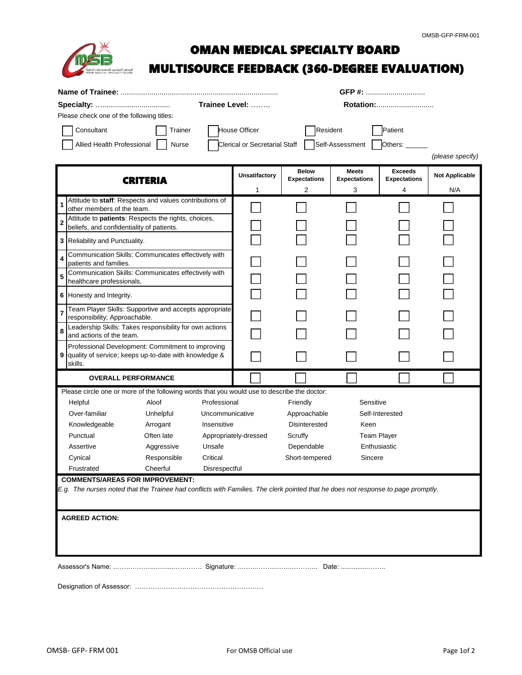

# OMAN MEDICAL SPECIALTY BOARD

## **MULTISOURCE FEEDBACK (360-DEGREE EVALUATION)**

|                                                                                                                                   |                                                                                         |             |                                      |                     | GFP #:              |                     |                       |                  |  |
|-----------------------------------------------------------------------------------------------------------------------------------|-----------------------------------------------------------------------------------------|-------------|--------------------------------------|---------------------|---------------------|---------------------|-----------------------|------------------|--|
|                                                                                                                                   |                                                                                         |             |                                      | Trainee Level:      | Rotation:           |                     |                       |                  |  |
| Please check one of the following titles:                                                                                         |                                                                                         |             |                                      |                     |                     |                     |                       |                  |  |
|                                                                                                                                   | Consultant<br>Trainer                                                                   |             |                                      | House Officer       | <b>Resident</b>     |                     | Patient               |                  |  |
| Allied Health Professional<br>Nurse                                                                                               |                                                                                         |             | <b>Clerical or Secretarial Staff</b> |                     | Self-Assessment     | Others:             |                       |                  |  |
|                                                                                                                                   |                                                                                         |             |                                      |                     |                     |                     |                       | (please specify) |  |
|                                                                                                                                   |                                                                                         |             |                                      |                     | <b>Below</b>        | <b>Meets</b>        | <b>Exceeds</b>        |                  |  |
| <b>CRITERIA</b>                                                                                                                   |                                                                                         |             | <b>Unsatifactory</b>                 | <b>Expectations</b> | <b>Expectations</b> | <b>Expectations</b> | <b>Not Applicable</b> |                  |  |
|                                                                                                                                   |                                                                                         |             |                                      | 1                   | 2                   | 3                   | 4                     | N/A              |  |
|                                                                                                                                   | Attitude to staff: Respects and values contributions of<br>other members of the team.   |             |                                      |                     |                     |                     |                       |                  |  |
|                                                                                                                                   | Attitude to patients: Respects the rights, choices,                                     |             |                                      |                     |                     |                     |                       |                  |  |
|                                                                                                                                   | beliefs, and confidentiality of patients.                                               |             |                                      |                     |                     |                     |                       |                  |  |
|                                                                                                                                   | 3 Reliability and Punctuality.                                                          |             |                                      |                     |                     |                     |                       |                  |  |
|                                                                                                                                   | Communication Skills: Communicates effectively with<br>patients and families.           |             |                                      |                     |                     |                     |                       |                  |  |
|                                                                                                                                   | Communication Skills: Communicates effectively with                                     |             |                                      |                     |                     |                     |                       |                  |  |
| 5                                                                                                                                 | healthcare professionals.                                                               |             |                                      |                     |                     |                     |                       |                  |  |
|                                                                                                                                   | 6 Honesty and Integrity.                                                                |             |                                      |                     |                     |                     |                       |                  |  |
|                                                                                                                                   | Team Player Skills: Supportive and accepts appropriate<br>responsibility; Approachable. |             |                                      |                     |                     |                     |                       |                  |  |
| 8                                                                                                                                 | Leadership Skills: Takes responsibility for own actions                                 |             |                                      |                     |                     |                     |                       |                  |  |
|                                                                                                                                   | and actions of the team.<br>Professional Development: Commitment to improving           |             |                                      |                     |                     |                     |                       |                  |  |
| 9                                                                                                                                 | quality of service; keeps up-to-date with knowledge &                                   |             |                                      |                     |                     |                     |                       |                  |  |
| skills.                                                                                                                           |                                                                                         |             |                                      |                     |                     |                     |                       |                  |  |
| <b>OVERALL PERFORMANCE</b>                                                                                                        |                                                                                         |             |                                      |                     |                     |                     |                       |                  |  |
| Please circle one or more of the following words that you would use to describe the doctor:                                       |                                                                                         |             |                                      |                     |                     |                     |                       |                  |  |
|                                                                                                                                   | Helpful<br>Professional<br>Aloof                                                        |             |                                      | Friendly            | Sensitive           |                     |                       |                  |  |
|                                                                                                                                   | Over-familiar<br>Unhelpful<br>Uncommunicative                                           |             |                                      | Approachable        | Self-Interested     |                     |                       |                  |  |
|                                                                                                                                   | Knowledgeable<br>Insensitive<br>Arrogant                                                |             |                                      | Disinterested       | Keen                |                     |                       |                  |  |
|                                                                                                                                   | Punctual<br>Often late                                                                  |             | Appropriately-dressed                | Scruffy             | <b>Team Player</b>  |                     |                       |                  |  |
|                                                                                                                                   | Assertive                                                                               | Aggressive  | Unsafe                               |                     | Dependable          |                     | Enthusiastic          |                  |  |
|                                                                                                                                   | Cynical                                                                                 | Responsible | Critical                             |                     | Short-tempered      | Sincere             |                       |                  |  |
|                                                                                                                                   | Frustrated                                                                              | Cheerful    | Disrespectful                        |                     |                     |                     |                       |                  |  |
| <b>COMMENTS/AREAS FOR IMPROVEMENT:</b>                                                                                            |                                                                                         |             |                                      |                     |                     |                     |                       |                  |  |
| E.g. The nurses noted that the Trainee had conflicts with Families. The clerk pointed that he does not response to page promptly. |                                                                                         |             |                                      |                     |                     |                     |                       |                  |  |
|                                                                                                                                   |                                                                                         |             |                                      |                     |                     |                     |                       |                  |  |
| <b>AGREED ACTION:</b>                                                                                                             |                                                                                         |             |                                      |                     |                     |                     |                       |                  |  |
|                                                                                                                                   |                                                                                         |             |                                      |                     |                     |                     |                       |                  |  |
|                                                                                                                                   |                                                                                         |             |                                      |                     |                     |                     |                       |                  |  |
|                                                                                                                                   |                                                                                         |             |                                      |                     |                     |                     |                       |                  |  |
|                                                                                                                                   |                                                                                         |             |                                      |                     |                     |                     |                       |                  |  |
|                                                                                                                                   |                                                                                         |             |                                      |                     |                     |                     |                       |                  |  |
|                                                                                                                                   |                                                                                         |             |                                      |                     |                     |                     |                       |                  |  |